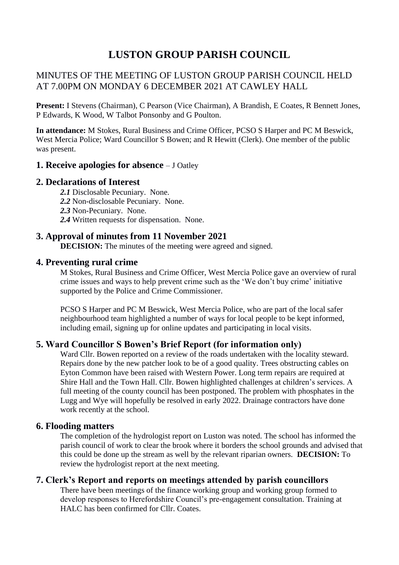# **LUSTON GROUP PARISH COUNCIL**

# MINUTES OF THE MEETING OF LUSTON GROUP PARISH COUNCIL HELD AT 7.00PM ON MONDAY 6 DECEMBER 2021 AT CAWLEY HALL

**Present:** I Stevens (Chairman), C Pearson (Vice Chairman), A Brandish, E Coates, R Bennett Jones, P Edwards, K Wood, W Talbot Ponsonby and G Poulton.

**In attendance:** M Stokes, Rural Business and Crime Officer, PCSO S Harper and PC M Beswick, West Mercia Police; Ward Councillor S Bowen; and R Hewitt (Clerk). One member of the public was present.

#### **1. Receive apologies for absence** – J Oatley

#### **2. Declarations of Interest**

- *2.1* Disclosable Pecuniary. None.
- *2.2* Non-disclosable Pecuniary. None.
- *2.3* Non-Pecuniary. None.
- *2.4* Written requests for dispensation. None.

# **3. Approval of minutes from 11 November 2021**

**DECISION:** The minutes of the meeting were agreed and signed.

#### **4. Preventing rural crime**

M Stokes, Rural Business and Crime Officer, West Mercia Police gave an overview of rural crime issues and ways to help prevent crime such as the 'We don't buy crime' initiative supported by the Police and Crime Commissioner.

PCSO S Harper and PC M Beswick, West Mercia Police, who are part of the local safer neighbourhood team highlighted a number of ways for local people to be kept informed, including email, signing up for online updates and participating in local visits.

# **5. Ward Councillor S Bowen's Brief Report (for information only)**

Ward Cllr. Bowen reported on a review of the roads undertaken with the locality steward. Repairs done by the new patcher look to be of a good quality. Trees obstructing cables on Eyton Common have been raised with Western Power. Long term repairs are required at Shire Hall and the Town Hall. Cllr. Bowen highlighted challenges at children's services. A full meeting of the county council has been postponed. The problem with phosphates in the Lugg and Wye will hopefully be resolved in early 2022. Drainage contractors have done work recently at the school.

#### **6. Flooding matters**

The completion of the hydrologist report on Luston was noted. The school has informed the parish council of work to clear the brook where it borders the school grounds and advised that this could be done up the stream as well by the relevant riparian owners. **DECISION:** To review the hydrologist report at the next meeting.

# **7. Clerk's Report and reports on meetings attended by parish councillors**

There have been meetings of the finance working group and working group formed to develop responses to Herefordshire Council's pre-engagement consultation. Training at HALC has been confirmed for Cllr. Coates.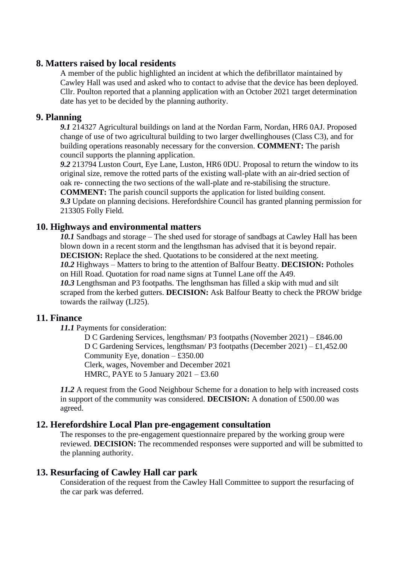#### **8. Matters raised by local residents**

A member of the public highlighted an incident at which the defibrillator maintained by Cawley Hall was used and asked who to contact to advise that the device has been deployed. Cllr. Poulton reported that a planning application with an October 2021 target determination date has yet to be decided by the planning authority.

#### **9. Planning**

*9.1* 214327 Agricultural buildings on land at the Nordan Farm, Nordan, HR6 0AJ. Proposed change of use of two agricultural building to two larger dwellinghouses (Class C3), and for building operations reasonably necessary for the conversion. **COMMENT:** The parish council supports the planning application.

*9.2* 213794 Luston Court, Eye Lane, Luston, HR6 0DU. Proposal to return the window to its original size, remove the rotted parts of the existing wall-plate with an air-dried section of oak re- connecting the two sections of the wall-plate and re-stabilising the structure.

**COMMENT:** The parish council supports the application for listed building consent. *9.3* Update on planning decisions. Herefordshire Council has granted planning permission for 213305 Folly Field.

#### **10. Highways and environmental matters**

*10.1* Sandbags and storage – The shed used for storage of sandbags at Cawley Hall has been blown down in a recent storm and the lengthsman has advised that it is beyond repair. **DECISION:** Replace the shed. Quotations to be considered at the next meeting. *10.2* Highways – Matters to bring to the attention of Balfour Beatty. **DECISION:** Potholes on Hill Road. Quotation for road name signs at Tunnel Lane off the A49. *10.3* Lengthsman and P3 footpaths. The lengthsman has filled a skip with mud and silt

scraped from the kerbed gutters. **DECISION:** Ask Balfour Beatty to check the PROW bridge towards the railway (LJ25).

# **11. Finance**

*11.1* Payments for consideration:

D C Gardening Services, lengthsman/ P3 footpaths (November 2021) – £846.00 D C Gardening Services, lengthsman/ P3 footpaths (December 2021) – £1,452.00 Community Eye, donation – £350.00 Clerk, wages, November and December 2021 HMRC, PAYE to 5 January  $2021 - \text{\textsterling}3.60$ 

*11.2* A request from the Good Neighbour Scheme for a donation to help with increased costs in support of the community was considered. **DECISION:** A donation of £500.00 was agreed.

#### **12. Herefordshire Local Plan pre-engagement consultation**

The responses to the pre-engagement questionnaire prepared by the working group were reviewed. **DECISION:** The recommended responses were supported and will be submitted to the planning authority.

#### **13. Resurfacing of Cawley Hall car park**

Consideration of the request from the Cawley Hall Committee to support the resurfacing of the car park was deferred.